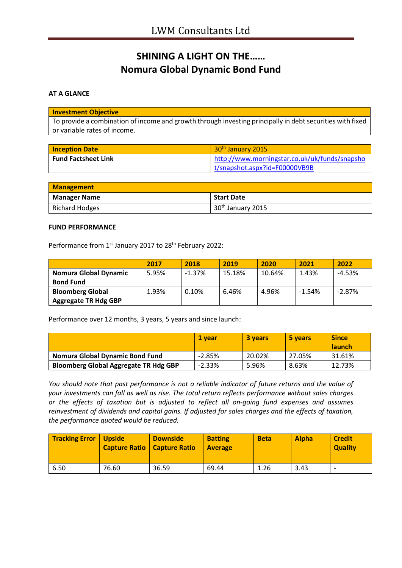# **SHINING A LIGHT ON THE…… Nomura Global Dynamic Bond Fund**

#### **AT A GLANCE**

#### **Investment Objective**

To provide a combination of income and growth through investing principally in debt securities with fixed or variable rates of income.

| <b>Inception Date</b> | 30 <sup>th</sup> January 2015                 |
|-----------------------|-----------------------------------------------|
| Fund Factsheet Link   | http://www.morningstar.co.uk/uk/funds/snapsho |
|                       | t/snapshot.aspx?id=F00000VB9B                 |

| <b>Management</b>   |                               |
|---------------------|-------------------------------|
| <b>Manager Name</b> | <b>Start Date</b>             |
| Richard Hodges      | 30 <sup>th</sup> January 2015 |

#### **FUND PERFORMANCE**

Performance from 1<sup>st</sup> January 2017 to 28<sup>th</sup> February 2022:

|                             | 2017  | 2018     | 2019   | 2020   | 2021     | 2022     |
|-----------------------------|-------|----------|--------|--------|----------|----------|
| Nomura Global Dynamic       | 5.95% | $-1.37%$ | 15.18% | 10.64% | 1.43%    | $-4.53%$ |
| <b>Bond Fund</b>            |       |          |        |        |          |          |
| <b>Bloomberg Global</b>     | 1.93% | 0.10%    | 6.46%  | 4.96%  | $-1.54%$ | $-2.87%$ |
| <b>Aggregate TR Hdg GBP</b> |       |          |        |        |          |          |

Performance over 12 months, 3 years, 5 years and since launch:

|                                              | <b>1 vear</b> | 3 years | 5 years | <b>Since</b>  |
|----------------------------------------------|---------------|---------|---------|---------------|
|                                              |               |         |         | <b>launch</b> |
| Nomura Global Dynamic Bond Fund              | $-2.85%$      | 20.02%  | 27.05%  | 31.61%        |
| <b>Bloomberg Global Aggregate TR Hdg GBP</b> | $-2.33%$      | 5.96%   | 8.63%   | 12.73%        |

*You should note that past performance is not a reliable indicator of future returns and the value of your investments can fall as well as rise. The total return reflects performance without sales charges or the effects of taxation but is adjusted to reflect all on-going fund expenses and assumes reinvestment of dividends and capital gains. If adjusted for sales charges and the effects of taxation, the performance quoted would be reduced.*

| <b>Tracking Error   Upside</b> |       | <b>Downside</b><br>Capture Ratio   Capture Ratio | <b>Batting</b><br><b>Average</b> | <b>Beta</b> | <b>Alpha</b> | <b>Credit</b><br><b>Quality</b> |
|--------------------------------|-------|--------------------------------------------------|----------------------------------|-------------|--------------|---------------------------------|
| 6.50                           | 76.60 | 36.59                                            | 69.44                            | 1.26        | 3.43         | $\overline{\phantom{0}}$        |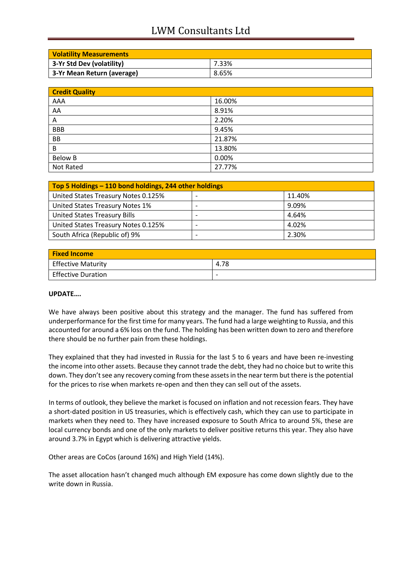## LWM Consultants Ltd

| <b>Volatility Measurements</b> |       |
|--------------------------------|-------|
| 3-Yr Std Dev (volatility)      | 7.33% |
| 3-Yr Mean Return (average)     | 8.65% |

| <b>Credit Quality</b> |        |
|-----------------------|--------|
| AAA                   | 16.00% |
| AA                    | 8.91%  |
| Α                     | 2.20%  |
| <b>BBB</b>            | 9.45%  |
| BB                    | 21.87% |
| B                     | 13.80% |
| <b>Below B</b>        | 0.00%  |
| Not Rated             | 27.77% |

| Top 5 Holdings - 110 bond holdings, 244 other holdings |  |        |
|--------------------------------------------------------|--|--------|
| United States Treasury Notes 0.125%                    |  | 11.40% |
| United States Treasury Notes 1%                        |  | 9.09%  |
| <b>United States Treasury Bills</b>                    |  | 4.64%  |
| United States Treasury Notes 0.125%                    |  | 4.02%  |
| South Africa (Republic of) 9%                          |  | 2.30%  |

| <b>Fixed Income</b>       |                          |
|---------------------------|--------------------------|
| <b>Effective Maturity</b> | 4.78                     |
| <b>Effective Duration</b> | $\overline{\phantom{0}}$ |

### **UPDATE….**

We have always been positive about this strategy and the manager. The fund has suffered from underperformance for the first time for many years. The fund had a large weighting to Russia, and this accounted for around a 6% loss on the fund. The holding has been written down to zero and therefore there should be no further pain from these holdings.

They explained that they had invested in Russia for the last 5 to 6 years and have been re-investing the income into other assets. Because they cannot trade the debt, they had no choice but to write this down. They don't see any recovery coming from these assets in the near term but there is the potential for the prices to rise when markets re-open and then they can sell out of the assets.

In terms of outlook, they believe the market is focused on inflation and not recession fears. They have a short-dated position in US treasuries, which is effectively cash, which they can use to participate in markets when they need to. They have increased exposure to South Africa to around 5%, these are local currency bonds and one of the only markets to deliver positive returns this year. They also have around 3.7% in Egypt which is delivering attractive yields.

Other areas are CoCos (around 16%) and High Yield (14%).

The asset allocation hasn't changed much although EM exposure has come down slightly due to the write down in Russia.